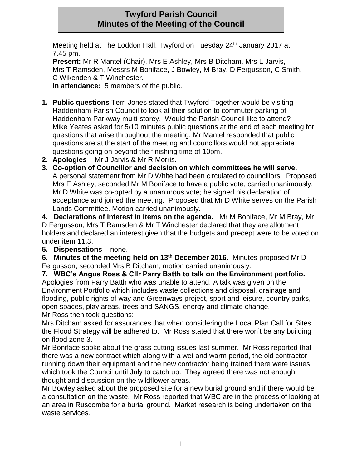# **Twyford Parish Council Minutes of the Meeting of the Council**

Meeting held at The Loddon Hall, Twyford on Tuesday 24<sup>th</sup> January 2017 at 7.45 pm.

**Present:** Mr R Mantel (Chair), Mrs E Ashley, Mrs B Ditcham, Mrs L Jarvis, Mrs T Ramsden, Messrs M Boniface, J Bowley, M Bray, D Fergusson, C Smith, C Wikenden & T Winchester.

**In attendance:** 5 members of the public.

- **1. Public questions** Terri Jones stated that Twyford Together would be visiting Haddenham Parish Council to look at their solution to commuter parking of Haddenham Parkway multi-storey. Would the Parish Council like to attend? Mike Yeates asked for 5/10 minutes public questions at the end of each meeting for questions that arise throughout the meeting. Mr Mantel responded that public questions are at the start of the meeting and councillors would not appreciate questions going on beyond the finishing time of 10pm.
- **2. Apologies**  Mr J Jarvis & Mr R Morris.
- **3. Co-option of Councillor and decision on which committees he will serve.**  A personal statement from Mr D White had been circulated to councillors. Proposed Mrs E Ashley, seconded Mr M Boniface to have a public vote, carried unanimously. Mr D White was co-opted by a unanimous vote; he signed his declaration of acceptance and joined the meeting. Proposed that Mr D White serves on the Parish Lands Committee. Motion carried unanimously.

**4. Declarations of interest in items on the agenda.** Mr M Boniface, Mr M Bray, Mr D Fergusson, Mrs T Ramsden & Mr T Winchester declared that they are allotment holders and declared an interest given that the budgets and precept were to be voted on under item 11.3.

**5. Dispensations** – none.

**6. Minutes of the meeting held on 13th December 2016.** Minutes proposed Mr D Fergusson, seconded Mrs B Ditcham, motion carried unanimously.

**7. WBC's Angus Ross & Cllr Parry Batth to talk on the Environment portfolio.**  Apologies from Parry Batth who was unable to attend. A talk was given on the Environment Portfolio which includes waste collections and disposal, drainage and flooding, public rights of way and Greenways project, sport and leisure, country parks, open spaces, play areas, trees and SANGS, energy and climate change. Mr Ross then took questions:

Mrs Ditcham asked for assurances that when considering the Local Plan Call for Sites the Flood Strategy will be adhered to. Mr Ross stated that there won't be any building on flood zone 3.

Mr Boniface spoke about the grass cutting issues last summer. Mr Ross reported that there was a new contract which along with a wet and warm period, the old contractor running down their equipment and the new contractor being trained there were issues which took the Council until July to catch up. They agreed there was not enough thought and discussion on the wildflower areas.

Mr Bowley asked about the proposed site for a new burial ground and if there would be a consultation on the waste. Mr Ross reported that WBC are in the process of looking at an area in Ruscombe for a burial ground. Market research is being undertaken on the waste services.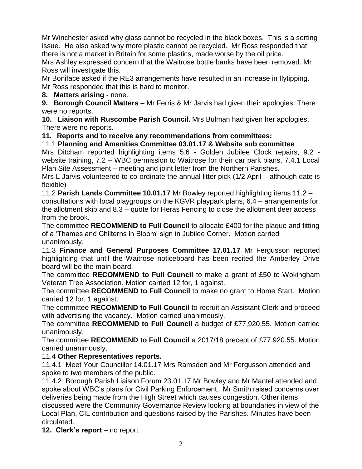Mr Winchester asked why glass cannot be recycled in the black boxes. This is a sorting issue. He also asked why more plastic cannot be recycled. Mr Ross responded that there is not a market in Britain for some plastics, made worse by the oil price.

Mrs Ashley expressed concern that the Waitrose bottle banks have been removed. Mr Ross will investigate this.

Mr Boniface asked if the RE3 arrangements have resulted in an increase in flytipping. Mr Ross responded that this is hard to monitor.

### **8. Matters arising** - none.

**9. Borough Council Matters** – Mr Ferris & Mr Jarvis had given their apologies. There were no reports.

**10. Liaison with Ruscombe Parish Council.** Mrs Bulman had given her apologies. There were no reports.

### **11. Reports and to receive any recommendations from committees:**

# 11.1 **Planning and Amenities Committee 03.01.17 & Website sub committee**

Mrs Ditcham reported highlighting items 5.6 - Golden Jubilee Clock repairs, 9.2 website training, 7.2 – WBC permission to Waitrose for their car park plans, 7.4.1 Local Plan Site Assessment – meeting and joint letter from the Northern Parishes.

Mrs L Jarvis volunteered to co-ordinate the annual litter pick (1/2 April – although date is flexible)

11.2 **Parish Lands Committee 10.01.17** Mr Bowley reported highlighting items 11.2 – consultations with local playgroups on the KGVR playpark plans, 6.4 – arrangements for the allotment skip and 8.3 – quote for Heras Fencing to close the allotment deer access from the brook.

The committee **RECOMMEND to Full Council** to allocate £400 for the plaque and fitting of a 'Thames and Chilterns in Bloom' sign in Jubilee Corner. Motion carried unanimously.

11.3 **Finance and General Purposes Committee 17.01.17** Mr Fergusson reported highlighting that until the Waitrose noticeboard has been recited the Amberley Drive board will be the main board.

The committee **RECOMMEND to Full Council** to make a grant of £50 to Wokingham Veteran Tree Association. Motion carried 12 for, 1 against.

The committee **RECOMMEND to Full Council** to make no grant to Home Start. Motion carried 12 for, 1 against.

The committee **RECOMMEND to Full Council** to recruit an Assistant Clerk and proceed with advertising the vacancy. Motion carried unanimously.

The committee **RECOMMEND to Full Council** a budget of £77,920.55. Motion carried unanimously.

The committee **RECOMMEND to Full Council** a 2017/18 precept of £77,920.55. Motion carried unanimously.

## 11.4 **Other Representatives reports.**

11.4.1 Meet Your Councillor 14.01.17 Mrs Ramsden and Mr Fergusson attended and spoke to two members of the public.

11.4.2 Borough Parish Liaison Forum 23.01.17 Mr Bowley and Mr Mantel attended and spoke about WBC's plans for Civil Parking Enforcement. Mr Smith raised concerns over deliveries being made from the High Street which causes congestion. Other items discussed were the Community Governance Review looking at boundaries in view of the Local Plan, CIL contribution and questions raised by the Parishes. Minutes have been circulated.

12. Clerk's report – no report.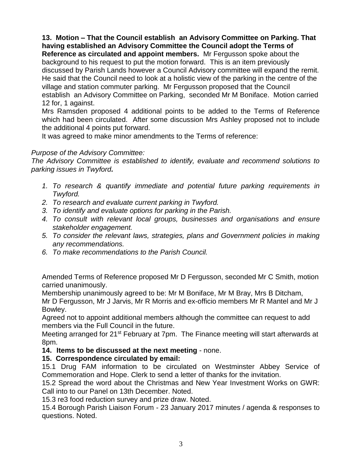**13. Motion – That the Council establish an Advisory Committee on Parking. That having established an Advisory Committee the Council adopt the Terms of Reference as circulated and appoint members.** Mr Fergusson spoke about the background to his request to put the motion forward. This is an item previously discussed by Parish Lands however a Council Advisory committee will expand the remit. He said that the Council need to look at a holistic view of the parking in the centre of the village and station commuter parking. Mr Fergusson proposed that the Council establish an Advisory Committee on Parking, seconded Mr M Boniface. Motion carried 12 for, 1 against.

Mrs Ramsden proposed 4 additional points to be added to the Terms of Reference which had been circulated. After some discussion Mrs Ashley proposed not to include the additional 4 points put forward.

It was agreed to make minor amendments to the Terms of reference:

### *Purpose of the Advisory Committee:*

*The Advisory Committee is established to identify, evaluate and recommend solutions to parking issues in Twyford.*

- *1. To research & quantify immediate and potential future parking requirements in Twyford.*
- *2. To research and evaluate current parking in Twyford.*
- *3. To identify and evaluate options for parking in the Parish.*
- *4. To consult with relevant local groups, businesses and organisations and ensure stakeholder engagement.*
- *5. To consider the relevant laws, strategies, plans and Government policies in making any recommendations.*
- *6. To make recommendations to the Parish Council.*

Amended Terms of Reference proposed Mr D Fergusson, seconded Mr C Smith, motion carried unanimously.

Membership unanimously agreed to be: Mr M Boniface, Mr M Bray, Mrs B Ditcham, Mr D Fergusson, Mr J Jarvis, Mr R Morris and ex-officio members Mr R Mantel and Mr J Bowley.

Agreed not to appoint additional members although the committee can request to add members via the Full Council in the future.

Meeting arranged for 21<sup>st</sup> February at 7pm. The Finance meeting will start afterwards at 8pm.

### **14. Items to be discussed at the next meeting** - none.

### **15. Correspondence circulated by email:**

15.1 Drug FAM information to be circulated on Westminster Abbey Service of Commemoration and Hope. Clerk to send a letter of thanks for the invitation.

15.2 Spread the word about the Christmas and New Year Investment Works on GWR: Call into to our Panel on 13th December. Noted.

15.3 re3 food reduction survey and prize draw. Noted.

15.4 Borough Parish Liaison Forum - 23 January 2017 minutes / agenda & responses to questions. Noted.